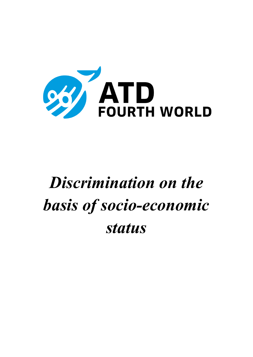

# *Discrimination on the basis of socio-economic status*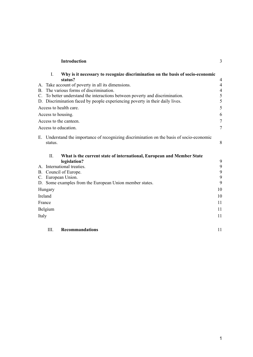| <b>Introduction</b> |  |
|---------------------|--|
|                     |  |

| I.                                                                           | Why is it necessary to recognize discrimination on the basis of socio-economic         |                  |
|------------------------------------------------------------------------------|----------------------------------------------------------------------------------------|------------------|
| status?                                                                      |                                                                                        | 4                |
|                                                                              | A. Take account of poverty in all its dimensions.                                      | $\overline{4}$   |
| B. The various forms of discrimination.                                      |                                                                                        |                  |
| C. To better understand the interactions between poverty and discrimination. |                                                                                        |                  |
|                                                                              | D. Discrimination faced by people experiencing poverty in their daily lives.           | 5                |
| Access to health care.                                                       |                                                                                        | 5                |
| Access to housing.                                                           |                                                                                        | 6                |
| Access to the canteen.                                                       |                                                                                        | $\overline{7}$   |
| Access to education.                                                         |                                                                                        | $\tau$           |
| Е.<br>status.                                                                | Understand the importance of recognizing discrimination on the basis of socio-economic | 8                |
| П.                                                                           | What is the current state of international, European and Member State                  |                  |
| legislation?<br>A. International treaties.                                   |                                                                                        | 9<br>9           |
| B. Council of Europe.                                                        |                                                                                        | $\boldsymbol{9}$ |
| C. European Union.                                                           |                                                                                        | $\boldsymbol{9}$ |
|                                                                              | D. Some examples from the European Union member states.                                | 9                |
| Hungary                                                                      |                                                                                        | 10               |
| Ireland                                                                      |                                                                                        | 10               |
| France                                                                       |                                                                                        | 11               |
| Belgium                                                                      |                                                                                        | 11               |
| Italy                                                                        |                                                                                        | 11               |
|                                                                              |                                                                                        |                  |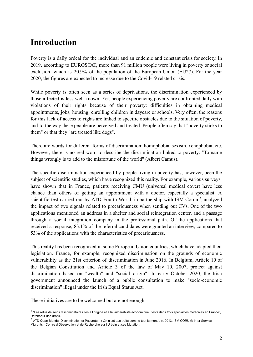# <span id="page-2-0"></span>**Introduction**

Poverty is a daily ordeal for the individual and an endemic and constant crisis for society. In 2019, according to EUROSTAT, more than 91 million people were living in poverty or social exclusion, which is 20.9% of the population of the European Union (EU27). For the year 2020, the figures are expected to increase due to the Covid-19 related crisis.

While poverty is often seen as a series of deprivations, the discrimination experienced by those affected is less well known. Yet, people experiencing poverty are confronted daily with violations of their rights because of their poverty: difficulties in obtaining medical appointments, jobs, housing, enrolling children in daycare or schools. Very often, the reasons for this lack of access to rights are linked to specific obstacles due to the situation of poverty, and to the way these people are perceived and treated. People often say that "poverty sticks to them" or that they "are treated like dogs".

There are words for different forms of discrimination: homophobia, sexism, xenophobia, etc. However, there is no real word to describe the discrimination linked to poverty: "To name things wrongly is to add to the misfortune of the world" (Albert Camus).

The specific discrimination experienced by people living in poverty has, however, been the subject of scientific studies, which have recognized this reality. For example, various surveys<sup>1</sup> have shown that in France, patients receiving CMU (universal medical cover) have less chance than others of getting an appointment with a doctor, especially a specialist. A scientific test carried out by ATD Fourth World, in partnership with ISM Corum<sup>2</sup>, analyzed the impact of two signals related to precariousness when sending out CVs. One of the two applications mentioned an address in a shelter and social reintegration center, and a passage through a social integration company in the professional path. Of the applications that received a response, 83.1% of the referral candidates were granted an interview, compared to 53% of the applications with the characteristics of precariousness.

This reality has been recognized in some European Union countries, which have adapted their legislation. France, for example, recognized discrimination on the grounds of economic vulnerability as the 21st criterion of discrimination in June 2016. In Belgium, Article 10 of the Belgian Constitution and Article 3 of the law of May 10, 2007, protect against discrimination based on "wealth" and "social origin". In early October 2020, the Irish government announced the launch of a public consultation to make "socio-economic discrimination" illegal under the Irish Equal Status Act.

These initiatives are to be welcomed but are not enough.

<sup>&</sup>lt;sup>1</sup> "Les refus de soins discriminatoires liés à l'origine et à la vulnérabilité économique : tests dans trois spécialités médicales en France", Défenseur des droits.

 $^2$  ATD Quart Monde, Discrimination et Pauvreté : « On n'est pas traité comme tout le monde », 2013. ISM CORUM: Inter Service Migrants - Centre d'Observation et de Recherche sur l'Urbain et ses Mutation.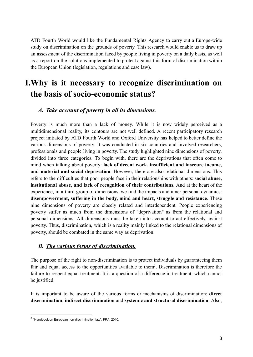ATD Fourth World would like the Fundamental Rights Agency to carry out a Europe-wide study on discrimination on the grounds of poverty. This research would enable us to draw up an assessment of the discrimination faced by people living in poverty on a daily basis, as well as a report on the solutions implemented to protect against this form of discrimination within the European Union (legislation, regulations and case law).

# <span id="page-3-0"></span>**I.Why is it necessary to recognize discrimination on the basis of socio-economic status?**

### <span id="page-3-1"></span>*A. Take account of poverty in all its dimensions.*

Poverty is much more than a lack of money. While it is now widely perceived as a multidimensional reality, its contours are not well defined. A recent participatory research project initiated by ATD Fourth World and Oxford University has helped to better define the various dimensions of poverty. It was conducted in six countries and involved researchers, professionals and people living in poverty. The study highlighted nine dimensions of poverty, divided into three categories. To begin with, there are the deprivations that often come to mind when talking about poverty: **lack of decent work, insufficient and insecure income, and material and social deprivation**. However, there are also relational dimensions. This refers to the difficulties that poor people face in their relationships with others: s**ocial abuse, institutional abuse, and lack of recognition of their contributions**. And at the heart of the experience, in a third group of dimensions, we find the impacts and inner personal dynamics: **disempowerment, suffering in the body, mind and heart, struggle and resistance**. These nine dimensions of poverty are closely related and interdependent. People experiencing poverty suffer as much from the dimensions of "deprivation" as from the relational and personal dimensions. All dimensions must be taken into account to act effectively against poverty. Thus, discrimination, which is a reality mainly linked to the relational dimensions of poverty, should be combated in the same way as deprivation.

### <span id="page-3-2"></span>*B. The various forms of discrimination.*

The purpose of the right to non-discrimination is to protect individuals by guaranteeing them fair and equal access to the opportunities available to them<sup>3</sup>. Discrimination is therefore the failure to respect equal treatment. It is a question of a difference in treatment, which cannot be justified.

It is important to be aware of the various forms or mechanisms of discrimination: **direct discrimination**, **indirect discrimination** and **systemic and structural discrimination**. Also,

<sup>&</sup>lt;sup>3</sup> "Handbook on European non-discrimination law", FRA, 2010.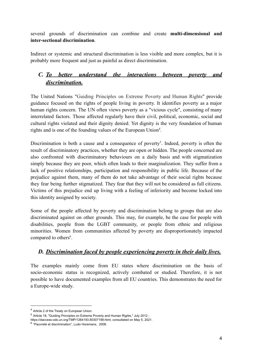several grounds of discrimination can combine and create **multi-dimensional and inter-sectional discrimination**.

Indirect or systemic and structural discrimination is less visible and more complex, but it is probably more frequent and just as painful as direct discrimination.

# <span id="page-4-0"></span>*C. To better understand the interactions between poverty and discrimination.*

The United Nations "Guiding Principles on Extreme Poverty and Human Rights" provide guidance focused on the rights of people living in poverty. It identifies poverty as a major human rights concern. The UN often views poverty as a "vicious cycle", consisting of many interrelated factors. Those affected regularly have their civil, political, economic, social and cultural rights violated and their dignity denied. Yet dignity is the very foundation of human rights and is one of the founding values of the European Union<sup>4</sup>.

Discrimination is both a cause and a consequence of poverty<sup>5</sup>. Indeed, poverty is often the result of discriminatory practices, whether they are open or hidden. The people concerned are also confronted with discriminatory behaviours on a daily basis and with stigmatization simply because they are poor, which often leads to their marginalization. They suffer from a lack of positive relationships, participation and responsibility in public life. Because of the prejudice against them, many of them do not take advantage of their social rights because they fear being further stigmatized. They fear that they will not be considered as full citizens. Victims of this prejudice end up living with a feeling of inferiority and become locked into this identity assigned by society.

Some of the people affected by poverty and discrimination belong to groups that are also discriminated against on other grounds. This may, for example, be the case for people with disabilities, people from the LGBT community, or people from ethnic and religious minorities. Women from communities affected by poverty are disproportionately impacted compared to others<sup>6</sup>.

# <span id="page-4-1"></span>*D. Discrimination faced by people experiencing poverty in their daily lives.*

The examples mainly come from EU states where discrimination on the basis of socio-economic status is recognized, actively combated or studied. Therefore, it is not possible to have documented examples from all EU countries. This demonstrates the need for a Europe-wide study.

<sup>4</sup> Article 2 of the Treaty on European Union.

<sup>5</sup> Article 18, "Guiding Principles on Extreme Poverty and Human Rights," July 2012 ;

https://daccess-ods.un.org/TMP/1264193.80307198.html, consultated on May 5, 2021.

<sup>&</sup>lt;sup>6</sup> "Pauvreté et discrimination", Ludo Horemans, 2008.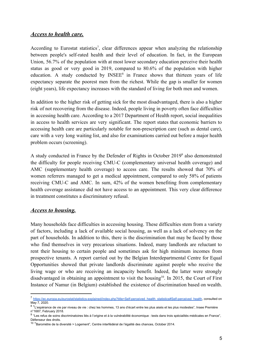#### <span id="page-5-0"></span>*Access to health care.*

According to Eurostat statistics<sup>7</sup>, clear differences appear when analyzing the relationship between people's self-rated health and their level of education. In fact, in the European Union, 56.7% of the population with at most lower secondary education perceive their health status as good or very good in 2019, compared to 80.6% of the population with higher education. A study conducted by  $INSEE^8$  in France shows that thirteen years of life expectancy separate the poorest men from the richest. While the gap is smaller for women (eight years), life expectancy increases with the standard of living for both men and women.

In addition to the higher risk of getting sick for the most disadvantaged, there is also a higher risk of not recovering from the disease. Indeed, people living in poverty often face difficulties in accessing health care. According to a 2017 Department of Health report, social inequalities in access to health services are very significant. The report states that economic barriers to accessing health care are particularly notable for non-prescription care (such as dental care), care with a very long waiting list, and also for examinations carried out before a major health problem occurs (screening).

A study conducted in France by the Defender of Rights in October 2019<sup>9</sup> also demonstrated the difficulty for people receiving CMU-C (complementary universal health coverage) and AMC (supplementary health coverage) to access care. The results showed that 70% of women referrers managed to get a medical appointment, compared to only 58% of patients receiving CMU-C and AMC. In sum, 42% of the women benefiting from complementary health coverage assistance did not have access to an appointment. This very clear difference in treatment constitutes a discriminatory refusal.

#### <span id="page-5-1"></span>*Access to housing.*

Many households face difficulties in accessing housing. These difficulties stem from a variety of factors, including a lack of available social housing, as well as a lack of solvency on the part of households. In addition to this, there is the discrimination that may be faced by those who find themselves in very precarious situations. Indeed, many landlords are reluctant to rent their housing to certain people and sometimes ask for high minimum incomes from prospective tenants. A report carried out by the Belgian Interdepartmental Centre for Equal Opportunities showed that private landlords discriminate against people who receive the living wage or who are receiving an incapacity benefit. Indeed, the latter were strongly disadvantaged in obtaining an appointment to visit the housing<sup>10</sup>. In 2015, the Court of First Instance of Namur (in Belgium) established the existence of discrimination based on wealth.

<sup>7</sup> [https://ec.europa.eu/eurostat/statistics-explained/index.php?title=Self-perceived\\_health\\_statistics#Self-perceived\\_health](https://ec.europa.eu/eurostat/statistics-explained/index.php?title=Self-perceived_health_statistics#Self-perceived_health), consulted on May 7, 2020.

<sup>&</sup>lt;sup>8</sup> "L'espérance de vie par niveau de vie : chez les hommes, 13 ans d'écart entre les plus aisés et les plus modestes", Insee Première n°1687, February 2018.

<sup>&</sup>lt;sup>9</sup> "Les refus de soins discriminatoires liés à l'origine et à la vulnérabilité économique : tests dans trois spécialités médicales en France", Défenseur des droits.

<sup>&</sup>lt;sup>10</sup> "Baromètre de la diversité > Logement", Centre interfédéral de l'égalité des chances, October 2014.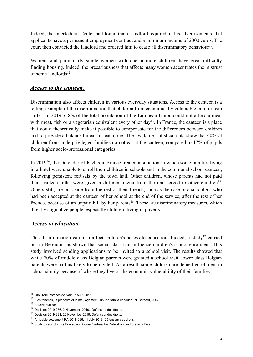Indeed, the Interfederal Center had found that a landlord required, in his advertisements, that applicants have a permanent employment contract and a minimum income of 2000 euros. The court then convicted the landlord and ordered him to cease all discriminatory behaviour<sup>11</sup>.

Women, and particularly single women with one or more children, have great difficulty finding housing. Indeed, the precariousness that affects many women accentuates the mistrust of some landlords<sup>12</sup>.

#### <span id="page-6-0"></span>*Access to the canteen.*

Discrimination also affects children in various everyday situations. Access to the canteen is a telling example of the discrimination that children from economically vulnerable families can suffer. In 2019, 6.8% of the total population of the European Union could not afford a meal with meat, fish or a vegetarian equivalent every other  $day<sup>13</sup>$ . In France, the canteen is a place that could theoretically make it possible to compensate for the differences between children and to provide a balanced meal for each one. The available statistical data show that 40% of children from underprivileged families do not eat at the canteen, compared to 17% of pupils from higher socio-professional categories.

In 2019<sup>14</sup>, the Defender of Rights in France treated a situation in which some families living in a hotel were unable to enroll their children in schools and in the communal school canteen, following persistent refusals by the town hall. Other children, whose parents had not paid their canteen bills, were given a different menu from the one served to other children<sup>15</sup>. Others still, are put aside from the rest of their friends, such as the case of a schoolgirl who had been accepted at the canteen of her school at the end of the service, after the rest of her friends, because of an unpaid bill by her parents<sup>16</sup>. These are discriminatory measures, which directly stigmatize people, especially children, living in poverty.

### <span id="page-6-1"></span>*Access to education.*

This discrimination can also affect children's access to education. Indeed, a study<sup>17</sup> carried out in Belgium has shown that social class can influence children's school enrolment. This study involved sending applications to be invited to a school visit. The results showed that while 70% of middle-class Belgian parents were granted a school visit, lower-class Belgian parents were half as likely to be invited. As a result, some children are denied enrollment in school simply because of where they live or the economic vulnerability of their families.

<sup>11</sup> Trib. 1ère instance de Namur, 5-05-2015.

<sup>12</sup> "Les femmes, la précarité et le mal-logement : un lien fatal à dénouer", N. Bernard, 2007.

<sup>13</sup> AROPE number.

<sup>14</sup> Decision 2019-256, 2 November 2019, Défenseur des droits.

<sup>15</sup> Decision 2019-291, 22 November 2019; Défenseur des droits.

<sup>16</sup> Amicable settlement RA-2019-096, 11 July 2019, Défenseur des droits.

<sup>17</sup> Study by sociologists Bourabain Dounia, Verhaeghe Pieter-Paul and Stevens Peter.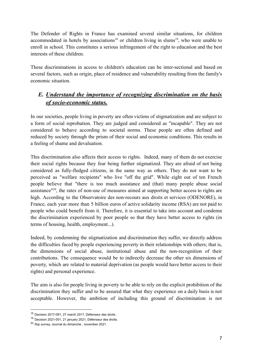The Defender of Rights in France has examined several similar situations, for children accommodated in hotels by associations<sup>18</sup> or children living in slums<sup>19</sup>, who were unable to enroll in school. This constitutes a serious infringement of the right to education and the best interests of these children.

These discriminations in access to children's education can be inter-sectional and based on several factors, such as origin, place of residence and vulnerability resulting from the family's economic situation.

# <span id="page-7-0"></span>*E. Understand the importance of recognizing discrimination on the basis of socio-economic status.*

In our societies, people living in poverty are often victims of stigmatization and are subject to a form of social reprobation. They are judged and considered as "incapable". They are not considered to behave according to societal norms. These people are often defined and reduced by society through the prism of their social and economic conditions. This results in a feeling of shame and devaluation.

This discrimination also affects their access to rights. Indeed, many of them do not exercise their social rights because they fear being further stigmatized. They are afraid of not being considered as fully-fledged citizens, in the same way as others. They do not want to be perceived as "welfare recipients" who live "off the grid". While eight out of ten French people believe that "there is too much assistance and (that) many people abuse social assistance<sup>"20</sup>, the rates of non-use of measures aimed at supporting better access to rights are high. According to the Observatoire des non-recours aux droits et services (ODENORE), in France, each year more than 5 billion euros of active solidarity income (RSA) are not paid to people who could benefit from it. Therefore, it is essential to take into account and condemn the discrimination experienced by poor people so that they have better access to rights (in terms of housing, health, employment...).

Indeed, by condemning the stigmatization and discrimination they suffer, we directly address the difficulties faced by people experiencing poverty in their relationships with others; that is, the dimensions of social abuse, institutional abuse and the non-recognition of their contributions. The consequence would be to indirectly decrease the other six dimensions of poverty, which are related to material deprivation (as people would have better access to their rights) and personal experience.

The aim is also for people living in poverty to be able to rely on the explicit prohibition of the discrimination they suffer and to be assured that what they experience on a daily basis is not acceptable. However, the ambition of including this ground of discrimination is not

<sup>18</sup> Decision 2017-091, 27 march 2017, Défenseur des droits.

<sup>19</sup> Decision 2021-001, 21 january 2021, Défenseur des droits.

<sup>20</sup> Ifop survey, Journal du dimanche , november 2021.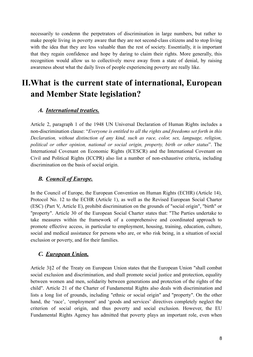necessarily to condemn the perpetrators of discrimination in large numbers, but rather to make people living in poverty aware that they are not second-class citizens and to stop living with the idea that they are less valuable than the rest of society. Essentially, it is important that they regain confidence and hope by daring to claim their rights. More generally, this recognition would allow us to collectively move away from a state of denial, by raising awareness about what the daily lives of people experiencing poverty are really like.

# <span id="page-8-0"></span>**II.What is the current state of international, European and Member State legislation?**

### <span id="page-8-1"></span>*A. International treaties.*

Article 2, paragraph 1 of the 1948 UN Universal Declaration of Human Rights includes a non-discrimination clause: "*Everyone is entitled to all the rights and freedoms set forth in this Declaration, without distinction of any kind, such as race, color, sex, language, religion, political or other opinion, national or social origin, property, birth or other status*". The International Covenant on Economic Rights (ICESCR) and the International Covenant on Civil and Political Rights (ICCPR) also list a number of non-exhaustive criteria, including discrimination on the basis of social origin.

### <span id="page-8-2"></span>*B. Council of Europe.*

In the Council of Europe, the European Convention on Human Rights (ECHR) (Article 14), Protocol No. 12 to the ECHR (Article 1), as well as the Revised European Social Charter (ESC) (Part V, Article E), prohibit discrimination on the grounds of "social origin", "birth" or "property". Article 30 of the European Social Charter states that: "The Parties undertake to take measures within the framework of a comprehensive and coordinated approach to promote effective access, in particular to employment, housing, training, education, culture, social and medical assistance for persons who are, or who risk being, in a situation of social exclusion or poverty, and for their families.

### <span id="page-8-3"></span>*C. European Union.*

Article 3§2 of the Treaty on European Union states that the European Union "shall combat social exclusion and discrimination, and shall promote social justice and protection, equality between women and men, solidarity between generations and protection of the rights of the child". Article 21 of the Charter of Fundamental Rights also deals with discrimination and lists a long list of grounds, including "ethnic or social origin" and "property". On the other hand, the 'race', 'employment' and 'goods and services' directives completely neglect the criterion of social origin, and thus poverty and social exclusion. However, the EU Fundamental Rights Agency has admitted that poverty plays an important role, even when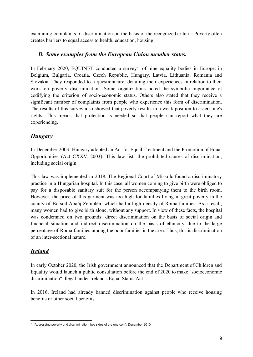examining complaints of discrimination on the basis of the recognized criteria. Poverty often creates barriers to equal access to health, education, housing.

### <span id="page-9-0"></span>*D. Some examples from the European Union member states.*

In February 2020, EQUINET conducted a survey<sup>21</sup> of nine equality bodies in Europe: in Belgium, Bulgaria, Croatia, Czech Republic, Hungary, Latvia, Lithuania, Romania and Slovakia. They responded to a questionnaire, detailing their experiences in relation to their work on poverty discrimination. Some organizations noted the symbolic importance of codifying the criterion of socio-economic status. Others also stated that they receive a significant number of complaints from people who experience this form of discrimination. The results of this survey also showed that poverty results in a weak position to assert one's rights. This means that protection is needed so that people can report what they are experiencing.

# <span id="page-9-1"></span>*Hungary*

In December 2003, Hungary adopted an Act for Equal Treatment and the Promotion of Equal Opportunities (Act CXXV, 2003). This law lists the prohibited causes of discrimination, including social origin.

This law was implemented in 2018. The Regional Court of Miskolc found a discriminatory practice in a Hungarian hospital. In this case, all women coming to give birth were obliged to pay for a disposable sanitary suit for the person accompanying them to the birth room. However, the price of this garment was too high for families living in great poverty in the county of Borsod-Abaúj-Zemplén, which had a high density of Roma families. As a result, many women had to give birth alone, without any support. In view of these facts, the hospital was condemned on two grounds: direct discrimination on the basis of social origin and financial situation and indirect discrimination on the basis of ethnicity, due to the large percentage of Roma families among the poor families in the area. Thus, this is discrimination of an inter-sectional nature.

# <span id="page-9-2"></span>*Ireland*

In early October 2020, the Irish government announced that the Department of Children and Equality would launch a public consultation before the end of 2020 to make "socioeconomic discrimination" illegal under Ireland's Equal Status Act.

In 2016, Ireland had already banned discrimination against people who receive housing benefits or other social benefits.

<sup>&</sup>lt;sup>21</sup> "Addressing poverty and discrimination: two sides of the one coin", December 2010.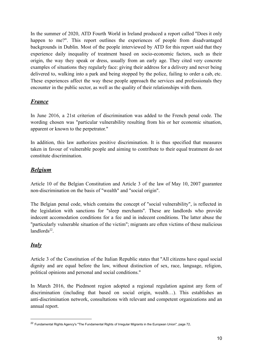In the summer of 2020, ATD Fourth World in Ireland produced a report called "Does it only happen to me?". This report outlines the experiences of people from disadvantaged backgrounds in Dublin. Most of the people interviewed by ATD for this report said that they experience daily inequality of treatment based on socio-economic factors, such as their origin, the way they speak or dress, usually from an early age. They cited very concrete examples of situations they regularly face: giving their address for a delivery and never being delivered to, walking into a park and being stopped by the police, failing to order a cab, etc. These experiences affect the way these people approach the services and professionals they encounter in the public sector, as well as the quality of their relationships with them.

# <span id="page-10-0"></span>*France*

In June 2016, a 21st criterion of discrimination was added to the French penal code. The wording chosen was "particular vulnerability resulting from his or her economic situation, apparent or known to the perpetrator."

In addition, this law authorizes positive discrimination. It is thus specified that measures taken in favour of vulnerable people and aiming to contribute to their equal treatment do not constitute discrimination.

### <span id="page-10-1"></span>*Belgium*

Article 10 of the Belgian Constitution and Article 3 of the law of May 10, 2007 guarantee non-discrimination on the basis of "wealth" and "social origin".

The Belgian penal code, which contains the concept of "social vulnerability", is reflected in the legislation with sanctions for "sleep merchants''. These are landlords who provide indecent accomodation conditions for a fee and in indecent conditions. The latter abuse the "particularly vulnerable situation of the victim"; migrants are often victims of these malicious  $landlords<sup>22</sup>$ .

# <span id="page-10-2"></span>*Italy*

Article 3 of the Constitution of the Italian Republic states that "All citizens have equal social dignity and are equal before the law, without distinction of sex, race, language, religion, political opinions and personal and social conditions."

In March 2016, the Piedmont region adopted a regional regulation against any form of discrimination (including that based on social origin, wealth…). This establishes an anti-discrimination network, consultations with relevant and competent organizations and an annual report.

<sup>&</sup>lt;sup>22</sup> Fundamental Rights Agency's "The Fundamental Rights of Irregular Migrants in the European Union", page 72.